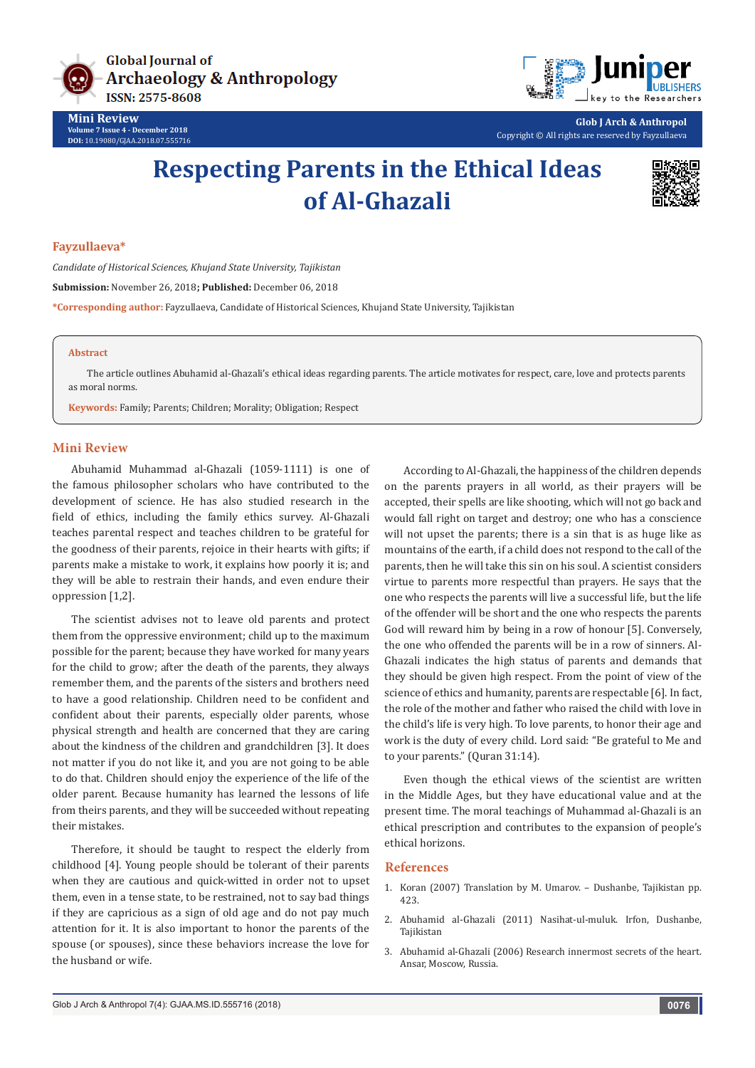

**Mini Review Volume 7 Issue 4 - December 2018 DOI:** [10.19080/GJAA.2018.07.555716](http://dx.doi.org/10.19080/GJAA.2018.07.555716)



**Glob J Arch & Anthropol** Copyright © All rights are reserved by Fayzullaeva

# **Respecting Parents in the Ethical Ideas of Al-Ghazali**



### **Fayzullaeva\***

*Candidate of Historical Sciences, Khujand State University, Tajikistan*

**Submission:** November 26, 2018**; Published:** December 06, 2018

**\*Corresponding author:** Fayzullaeva, Candidate of Historical Sciences, Khujand State University, Tajikistan

#### **Abstract**

The article outlines Abuhamid al-Ghazali's ethical ideas regarding parents. The article motivates for respect, care, love and protects parents as moral norms.

**Keywords:** Family; Parents; Children; Morality; Obligation; Respect

#### **Mini Review**

Abuhamid Muhammad al-Ghazali (1059-1111) is one of the famous philosopher scholars who have contributed to the development of science. He has also studied research in the field of ethics, including the family ethics survey. Al-Ghazali teaches parental respect and teaches children to be grateful for the goodness of their parents, rejoice in their hearts with gifts; if parents make a mistake to work, it explains how poorly it is; and they will be able to restrain their hands, and even endure their oppression [1,2].

The scientist advises not to leave old parents and protect them from the oppressive environment; child up to the maximum possible for the parent; because they have worked for many years for the child to grow; after the death of the parents, they always remember them, and the parents of the sisters and brothers need to have a good relationship. Children need to be confident and confident about their parents, especially older parents, whose physical strength and health are concerned that they are caring about the kindness of the children and grandchildren [3]. It does not matter if you do not like it, and you are not going to be able to do that. Children should enjoy the experience of the life of the older parent. Because humanity has learned the lessons of life from theirs parents, and they will be succeeded without repeating their mistakes.

Therefore, it should be taught to respect the elderly from childhood [4]. Young people should be tolerant of their parents when they are cautious and quick-witted in order not to upset them, even in a tense state, to be restrained, not to say bad things if they are capricious as a sign of old age and do not pay much attention for it. It is also important to honor the parents of the spouse (or spouses), since these behaviors increase the love for the husband or wife.

According to Al-Ghazali, the happiness of the children depends on the parents prayers in all world, as their prayers will be accepted, their spells are like shooting, which will not go back and would fall right on target and destroy; one who has a conscience will not upset the parents; there is a sin that is as huge like as mountains of the earth, if a child does not respond to the call of the parents, then he will take this sin on his soul. A scientist considers virtue to parents more respectful than prayers. He says that the one who respects the parents will live a successful life, but the life of the offender will be short and the one who respects the parents God will reward him by being in a row of honour [5]. Conversely, the one who offended the parents will be in a row of sinners. Al-Ghazali indicates the high status of parents and demands that they should be given high respect. From the point of view of the science of ethics and humanity, parents are respectable [6]. In fact, the role of the mother and father who raised the child with love in the child's life is very high. To love parents, to honor their age and work is the duty of every child. Lord said: "Be grateful to Me and to your parents." (Quran 31:14).

Even though the ethical views of the scientist are written in the Middle Ages, but they have educational value and at the present time. The moral teachings of Muhammad al-Ghazali is an ethical prescription and contributes to the expansion of people's ethical horizons.

#### **References**

- 1. Koran (2007) Translation by M. Umarov. Dushanbe, Tajikistan pp. 423.
- 2. Abuhamid al-Ghazali (2011) Nasihat-ul-muluk. Irfon, Dushanbe, Tajikistan
- 3. Abuhamid al-Ghazali (2006) Research innermost secrets of the heart. Ansar, Moscow, Russia.